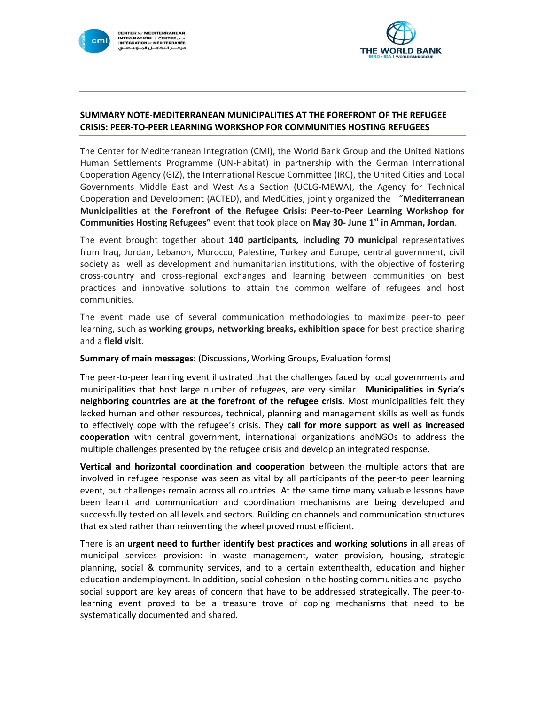



## **SUMMARY NOTE**-**MEDITERRANEAN MUNICIPALITIES AT THE FOREFRONT OF THE REFUGEE CRISIS: PEER-TO-PEER LEARNING WORKSHOP FOR COMMUNITIES HOSTING REFUGEES**

The Center for Mediterranean Integration (CMI), the World Bank Group and the United Nations Human Settlements Programme (UN-Habitat) in partnership with the German International Cooperation Agency (GIZ), the International Rescue Committee (IRC), the United Cities and Local Governments Middle East and West Asia Section (UCLG-MEWA), the Agency for Technical Cooperation and Development (ACTED), and MedCities, jointly organized the "**Mediterranean Municipalities at the Forefront of the Refugee Crisis: Peer-to-Peer Learning Workshop for Communities Hosting Refugees"** event that took place on **May 30- June 1st in Amman, Jordan**.

The event brought together about **140 participants, including 70 municipal** representatives from Iraq, Jordan, Lebanon, Morocco, Palestine, Turkey and Europe, central government, civil society as well as development and humanitarian institutions, with the objective of fostering cross-country and cross-regional exchanges and learning between communities on best practices and innovative solutions to attain the common welfare of refugees and host communities.

The event made use of several communication methodologies to maximize peer-to peer learning, such as **working groups, networking breaks, exhibition space** for best practice sharing and a **field visit**.

**Summary of main messages:** (Discussions, Working Groups, Evaluation forms)

The peer-to-peer learning event illustrated that the challenges faced by local governments and municipalities that host large number of refugees, are very similar. **Municipalities in Syria's neighboring countries are at the forefront of the refugee crisis**. Most municipalities felt they lacked human and other resources, technical, planning and management skills as well as funds to effectively cope with the refugee's crisis. They **call for more support as well as increased cooperation** with central government, international organizations andNGOs to address the multiple challenges presented by the refugee crisis and develop an integrated response.

**Vertical and horizontal coordination and cooperation** between the multiple actors that are involved in refugee response was seen as vital by all participants of the peer-to peer learning event, but challenges remain across all countries. At the same time many valuable lessons have been learnt and communication and coordination mechanisms are being developed and successfully tested on all levels and sectors. Building on channels and communication structures that existed rather than reinventing the wheel proved most efficient.

There is an **urgent need to further identify best practices and working solutions** in all areas of municipal services provision: in waste management, water provision, housing, strategic planning, social & community services, and to a certain extenthealth, education and higher education andemployment. In addition, social cohesion in the hosting communities and psychosocial support are key areas of concern that have to be addressed strategically. The peer-tolearning event proved to be a treasure trove of coping mechanisms that need to be systematically documented and shared.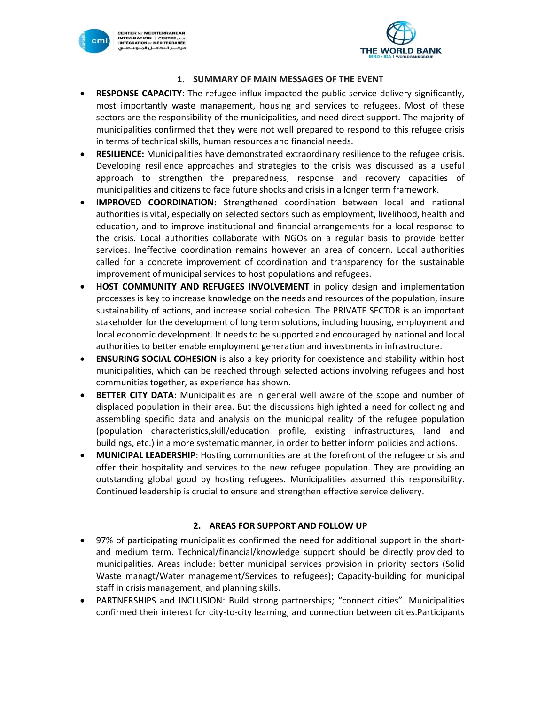



#### **1. SUMMARY OF MAIN MESSAGES OF THE EVENT**

- **RESPONSE CAPACITY**: The refugee influx impacted the public service delivery significantly, most importantly waste management, housing and services to refugees. Most of these sectors are the responsibility of the municipalities, and need direct support. The majority of municipalities confirmed that they were not well prepared to respond to this refugee crisis in terms of technical skills, human resources and financial needs.
- **RESILIENCE:** Municipalities have demonstrated extraordinary resilience to the refugee crisis. Developing resilience approaches and strategies to the crisis was discussed as a useful approach to strengthen the preparedness, response and recovery capacities of municipalities and citizens to face future shocks and crisis in a longer term framework.
- **IMPROVED COORDINATION:** Strengthened coordination between local and national authorities is vital, especially on selected sectors such as employment, livelihood, health and education, and to improve institutional and financial arrangements for a local response to the crisis. Local authorities collaborate with NGOs on a regular basis to provide better services. Ineffective coordination remains however an area of concern. Local authorities called for a concrete improvement of coordination and transparency for the sustainable improvement of municipal services to host populations and refugees.
- **HOST COMMUNITY AND REFUGEES INVOLVEMENT** in policy design and implementation processes is key to increase knowledge on the needs and resources of the population, insure sustainability of actions, and increase social cohesion. The PRIVATE SECTOR is an important stakeholder for the development of long term solutions, including housing, employment and local economic development. It needs to be supported and encouraged by national and local authorities to better enable employment generation and investments in infrastructure.
- **ENSURING SOCIAL COHESION** is also a key priority for coexistence and stability within host municipalities, which can be reached through selected actions involving refugees and host communities together, as experience has shown.
- **BETTER CITY DATA**: Municipalities are in general well aware of the scope and number of displaced population in their area. But the discussions highlighted a need for collecting and assembling specific data and analysis on the municipal reality of the refugee population (population characteristics,skill/education profile, existing infrastructures, land and buildings, etc.) in a more systematic manner, in order to better inform policies and actions.
- **MUNICIPAL LEADERSHIP**: Hosting communities are at the forefront of the refugee crisis and offer their hospitality and services to the new refugee population. They are providing an outstanding global good by hosting refugees. Municipalities assumed this responsibility. Continued leadership is crucial to ensure and strengthen effective service delivery.

## **2. AREAS FOR SUPPORT AND FOLLOW UP**

- 97% of participating municipalities confirmed the need for additional support in the shortand medium term. Technical/financial/knowledge support should be directly provided to municipalities. Areas include: better municipal services provision in priority sectors (Solid Waste managt/Water management/Services to refugees); Capacity-building for municipal staff in crisis management; and planning skills.
- PARTNERSHIPS and INCLUSION: Build strong partnerships; "connect cities". Municipalities confirmed their interest for city-to-city learning, and connection between cities.Participants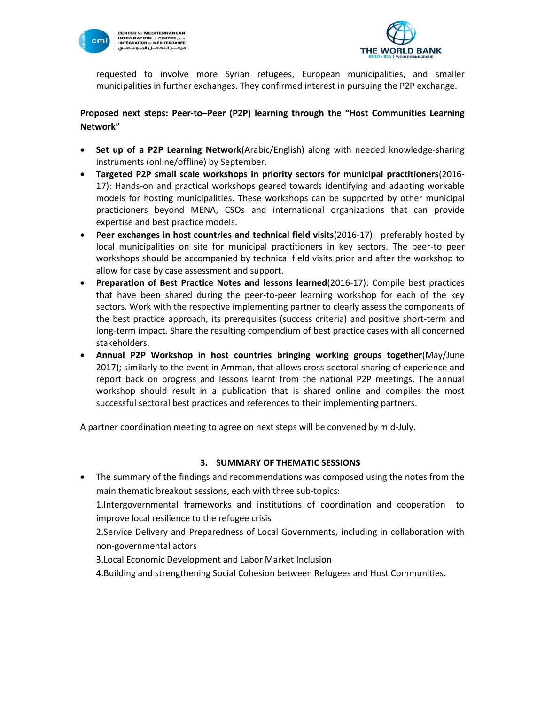



requested to involve more Syrian refugees, European municipalities, and smaller municipalities in further exchanges. They confirmed interest in pursuing the P2P exchange.

## **Proposed next steps: Peer-to–Peer (P2P) learning through the "Host Communities Learning Network"**

- **Set up of a P2P Learning Network**(Arabic/English) along with needed knowledge-sharing instruments (online/offline) by September.
- **Targeted P2P small scale workshops in priority sectors for municipal practitioners**(2016- 17): Hands-on and practical workshops geared towards identifying and adapting workable models for hosting municipalities. These workshops can be supported by other municipal practicioners beyond MENA, CSOs and international organizations that can provide expertise and best practice models.
- **Peer exchanges in host countries and technical field visits**(2016-17): preferably hosted by local municipalities on site for municipal practitioners in key sectors. The peer-to peer workshops should be accompanied by technical field visits prior and after the workshop to allow for case by case assessment and support.
- **Preparation of Best Practice Notes and lessons learned**(2016-17): Compile best practices that have been shared during the peer-to-peer learning workshop for each of the key sectors. Work with the respective implementing partner to clearly assess the components of the best practice approach, its prerequisites (success criteria) and positive short-term and long-term impact. Share the resulting compendium of best practice cases with all concerned stakeholders.
- **Annual P2P Workshop in host countries bringing working groups together**(May/June 2017); similarly to the event in Amman, that allows cross-sectoral sharing of experience and report back on progress and lessons learnt from the national P2P meetings. The annual workshop should result in a publication that is shared online and compiles the most successful sectoral best practices and references to their implementing partners.

A partner coordination meeting to agree on next steps will be convened by mid-July.

## **3. SUMMARY OF THEMATIC SESSIONS**

 The summary of the findings and recommendations was composed using the notes from the main thematic breakout sessions, each with three sub-topics:

1.Intergovernmental frameworks and institutions of coordination and cooperation to improve local resilience to the refugee crisis

2.Service Delivery and Preparedness of Local Governments, including in collaboration with non-governmental actors

3.Local Economic Development and Labor Market Inclusion

4.Building and strengthening Social Cohesion between Refugees and Host Communities.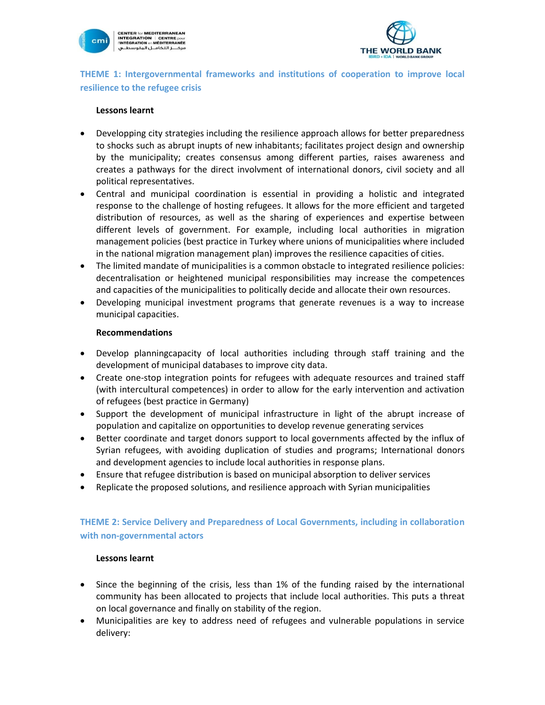

CENTER for MEDITERRANEAN<br>INTEGRATION | CENTRE pour<br>|'INTÉGRATION en MÉDITERRANÉE<br>مرکـــز التخامـــل المتوسطـــي



**THEME 1: Intergovernmental frameworks and institutions of cooperation to improve local resilience to the refugee crisis**

#### **Lessons learnt**

- Developping city strategies including the resilience approach allows for better preparedness to shocks such as abrupt inupts of new inhabitants; facilitates project design and ownership by the municipality; creates consensus among different parties, raises awareness and creates a pathways for the direct involvment of international donors, civil society and all political representatives.
- Central and municipal coordination is essential in providing a holistic and integrated response to the challenge of hosting refugees. It allows for the more efficient and targeted distribution of resources, as well as the sharing of experiences and expertise between different levels of government. For example, including local authorities in migration management policies (best practice in Turkey where unions of municipalities where included in the national migration management plan) improves the resilience capacities of cities.
- The limited mandate of municipalities is a common obstacle to integrated resilience policies: decentralisation or heightened municipal responsibilities may increase the competences and capacities of the municipalities to politically decide and allocate their own resources.
- Developing municipal investment programs that generate revenues is a way to increase municipal capacities.

#### **Recommendations**

- Develop planningcapacity of local authorities including through staff training and the development of municipal databases to improve city data.
- Create one-stop integration points for refugees with adequate resources and trained staff (with intercultural competences) in order to allow for the early intervention and activation of refugees (best practice in Germany)
- Support the development of municipal infrastructure in light of the abrupt increase of population and capitalize on opportunities to develop revenue generating services
- Better coordinate and target donors support to local governments affected by the influx of Syrian refugees, with avoiding duplication of studies and programs; International donors and development agencies to include local authorities in response plans.
- Ensure that refugee distribution is based on municipal absorption to deliver services
- Replicate the proposed solutions, and resilience approach with Syrian municipalities

## **THEME 2: Service Delivery and Preparedness of Local Governments, including in collaboration with non-governmental actors**

## **Lessons learnt**

- Since the beginning of the crisis, less than 1% of the funding raised by the international community has been allocated to projects that include local authorities. This puts a threat on local governance and finally on stability of the region.
- Municipalities are key to address need of refugees and vulnerable populations in service delivery: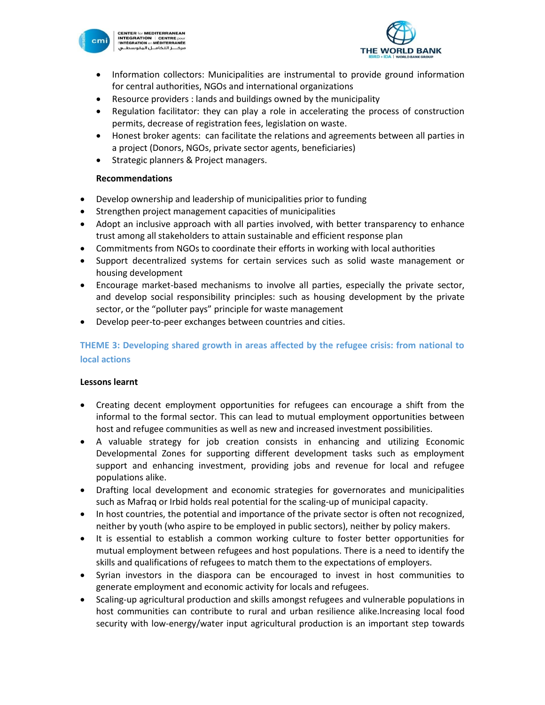

CENTER for MEDITERRANEAN<br>INTEGRATION | CENTRE pour<br>|'INTÉGRATION en MÉDITERRANÉE<br>مرکـــز التخامــل المتوسطــي



- Information collectors: Municipalities are instrumental to provide ground information for central authorities, NGOs and international organizations
- Resource providers : lands and buildings owned by the municipality
- Regulation facilitator: they can play a role in accelerating the process of construction permits, decrease of registration fees, legislation on waste.
- Honest broker agents: can facilitate the relations and agreements between all parties in a project (Donors, NGOs, private sector agents, beneficiaries)
- **•** Strategic planners & Project managers.

## **Recommendations**

- Develop ownership and leadership of municipalities prior to funding
- Strengthen project management capacities of municipalities
- Adopt an inclusive approach with all parties involved, with better transparency to enhance trust among all stakeholders to attain sustainable and efficient response plan
- Commitments from NGOs to coordinate their efforts in working with local authorities
- Support decentralized systems for certain services such as solid waste management or housing development
- Encourage market-based mechanisms to involve all parties, especially the private sector, and develop social responsibility principles: such as housing development by the private sector, or the "polluter pays" principle for waste management
- Develop peer-to-peer exchanges between countries and cities.

# **THEME 3: Developing shared growth in areas affected by the refugee crisis: from national to local actions**

## **Lessons learnt**

- Creating decent employment opportunities for refugees can encourage a shift from the informal to the formal sector. This can lead to mutual employment opportunities between host and refugee communities as well as new and increased investment possibilities.
- A valuable strategy for job creation consists in enhancing and utilizing Economic Developmental Zones for supporting different development tasks such as employment support and enhancing investment, providing jobs and revenue for local and refugee populations alike.
- Drafting local development and economic strategies for governorates and municipalities such as Mafraq or Irbid holds real potential for the scaling-up of municipal capacity.
- In host countries, the potential and importance of the private sector is often not recognized, neither by youth (who aspire to be employed in public sectors), neither by policy makers.
- It is essential to establish a common working culture to foster better opportunities for mutual employment between refugees and host populations. There is a need to identify the skills and qualifications of refugees to match them to the expectations of employers.
- Syrian investors in the diaspora can be encouraged to invest in host communities to generate employment and economic activity for locals and refugees.
- Scaling-up agricultural production and skills amongst refugees and vulnerable populations in host communities can contribute to rural and urban resilience alike.Increasing local food security with low-energy/water input agricultural production is an important step towards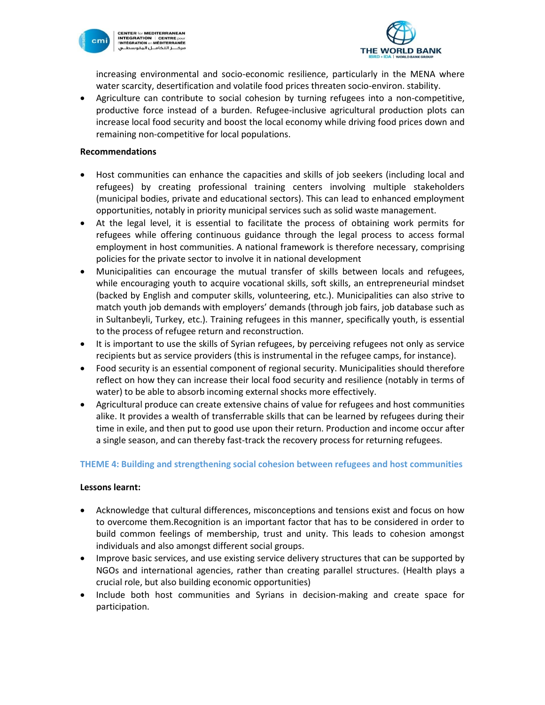

CENTER for MEDITERRANEAN<br>INTEGRATION | CENTRE pour<br>|'INTÉGRATION en MÉDITERRANÉE<br>مرکـــز التخامــل المتوسطــي



increasing environmental and socio-economic resilience, particularly in the MENA where water scarcity, desertification and volatile food prices threaten socio-environ. stability.

 Agriculture can contribute to social cohesion by turning refugees into a non-competitive, productive force instead of a burden. Refugee-inclusive agricultural production plots can increase local food security and boost the local economy while driving food prices down and remaining non-competitive for local populations.

#### **Recommendations**

- Host communities can enhance the capacities and skills of job seekers (including local and refugees) by creating professional training centers involving multiple stakeholders (municipal bodies, private and educational sectors). This can lead to enhanced employment opportunities, notably in priority municipal services such as solid waste management.
- At the legal level, it is essential to facilitate the process of obtaining work permits for refugees while offering continuous guidance through the legal process to access formal employment in host communities. A national framework is therefore necessary, comprising policies for the private sector to involve it in national development
- Municipalities can encourage the mutual transfer of skills between locals and refugees, while encouraging youth to acquire vocational skills, soft skills, an entrepreneurial mindset (backed by English and computer skills, volunteering, etc.). Municipalities can also strive to match youth job demands with employers' demands (through job fairs, job database such as in Sultanbeyli, Turkey, etc.). Training refugees in this manner, specifically youth, is essential to the process of refugee return and reconstruction.
- It is important to use the skills of Syrian refugees, by perceiving refugees not only as service recipients but as service providers (this is instrumental in the refugee camps, for instance).
- Food security is an essential component of regional security. Municipalities should therefore reflect on how they can increase their local food security and resilience (notably in terms of water) to be able to absorb incoming external shocks more effectively.
- Agricultural produce can create extensive chains of value for refugees and host communities alike. It provides a wealth of transferrable skills that can be learned by refugees during their time in exile, and then put to good use upon their return. Production and income occur after a single season, and can thereby fast-track the recovery process for returning refugees.

## **THEME 4: Building and strengthening social cohesion between refugees and host communities**

## **Lessons learnt:**

- Acknowledge that cultural differences, misconceptions and tensions exist and focus on how to overcome them.Recognition is an important factor that has to be considered in order to build common feelings of membership, trust and unity. This leads to cohesion amongst individuals and also amongst different social groups.
- Improve basic services, and use existing service delivery structures that can be supported by NGOs and international agencies, rather than creating parallel structures. (Health plays a crucial role, but also building economic opportunities)
- Include both host communities and Syrians in decision-making and create space for participation.